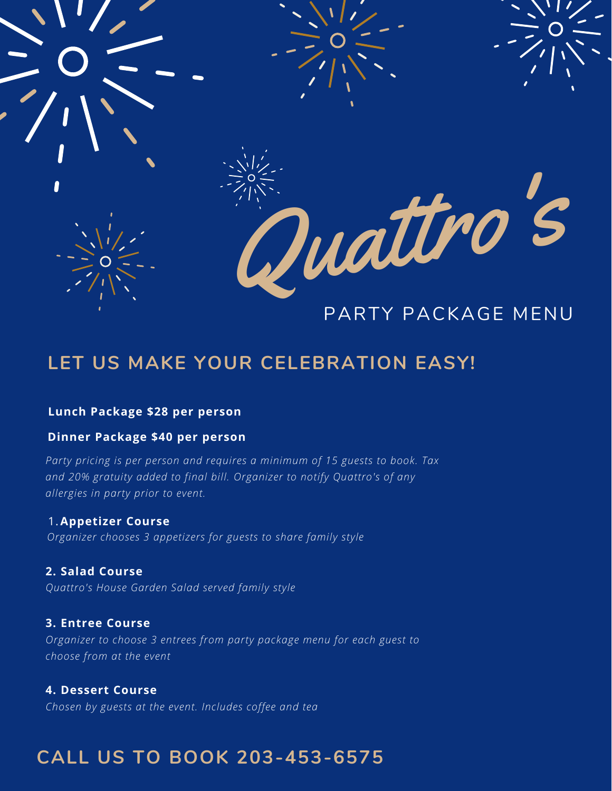

## **LET US MAKE YOUR CELEBRATION EASY!**

### **Lunch Package \$28 per person**

### **Dinner Package \$40 per person**

*Party pricing is per person and requires a minimum of 15 guests to book. Tax and 20% gratuity added to final bill. Organizer to notify Quattro's of any allergies in party prior to event.*

#### 1.**Appetizer Course**

*Organizer chooses 3 appetizers for guests to share family style*

#### **2. Salad Course**

*Quattro's House Garden Salad served family style*

#### **3. Entree Course**

*Organizer to choose 3 entrees from party package menu for each guest to choose from at the event*

#### **4. Dessert Course**

*Chosen by guests at the event. Includes coffee and tea*

### **CALL US TO BOOK 203-453-6575**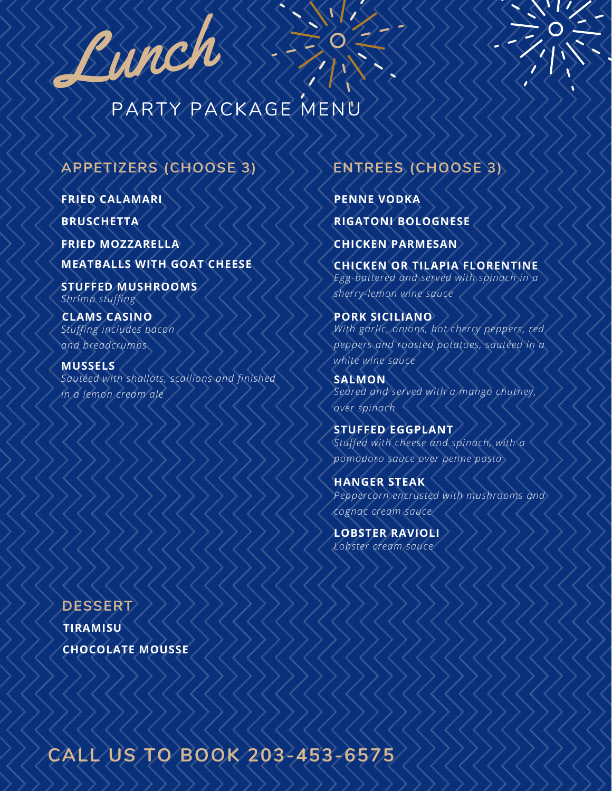

## PARTY PACKAGE MENU

### **APPETIZERS (CHOOSE 3)**

**FRIED CALAMARI**

**BRUSCHETTA**

**FRIED MOZZARELLA MEATBALLS WITH GOAT CHEESE**

**STUFFED MUSHROOMS** *Shrimp stuffing*

**CLAMS CASINO** *Stuffing includes bacon and breadcrumbs*

**MUSSELS** *Sautéed with shallots, scallions and finished in a lemon cream ale*

**TIRAMISU CHOCOLATE MOUSSE DESSERT**

### **ENTREES (CHOOSE 3)**

**RIGATONI BOLOGNESE PENNE VODKA**

**CHICKEN PARMESAN**

**CHICKEN OR TILAPIA FLORENTINE** *Egg-battered and served with spinach in a sherry-lemon wine sauce*

**PORK SICILIANO** *With garlic, onions, hot cherry peppers, red peppers and roasted potatoes, sautéed in a white wine sauce*

**SALMON** *Seared and served with a mango chutney, over spinach*

*Stuffed with cheese and spinach, with a pomodoro sauce over penne pasta* **STUFFED EGGPLANT**

*Peppercorn encrusted with mushrooms and cognac cream sauce* **HANGER STEAK**

*Lobster cream sauce* **LOBSTER RAVIOLI**

**CALL US TO BOOK 203-453-6575**